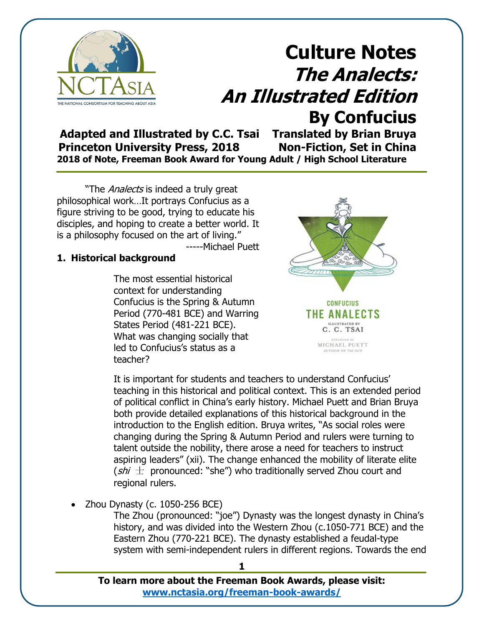

**Adapted and Illustrated by C.C. Tsai Translated by Brian Bruya Princeton University Press, 2018 Non-Fiction, Set in China 2018 of Note, Freeman Book Award for Young Adult / High School Literature**

"The Analects is indeed a truly great philosophical work…It portrays Confucius as a figure striving to be good, trying to educate his disciples, and hoping to create a better world. It is a philosophy focused on the art of living." -----Michael Puett

#### **1. Historical background**

The most essential historical context for understanding Confucius is the Spring & Autumn Period (770-481 BCE) and Warring States Period (481-221 BCE). What was changing socially that led to Confucius's status as a teacher?



MICHAEL PUETT **AUTHOR OF THE PATE** 

It is important for students and teachers to understand Confucius' teaching in this historical and political context. This is an extended period of political conflict in China's early history. Michael Puett and Brian Bruya both provide detailed explanations of this historical background in the introduction to the English edition. Bruya writes, "As social roles were changing during the Spring & Autumn Period and rulers were turning to talent outside the nobility, there arose a need for teachers to instruct aspiring leaders" (xii). The change enhanced the mobility of literate elite ( $\sin t$  pronounced: "she") who traditionally served Zhou court and regional rulers.

• Zhou Dynasty (c. 1050-256 BCE)

The Zhou (pronounced: "joe") Dynasty was the longest dynasty in China's history, and was divided into the Western Zhou (c.1050-771 BCE) and the Eastern Zhou (770-221 BCE). The dynasty established a feudal-type system with semi-independent rulers in different regions. Towards the end

**1**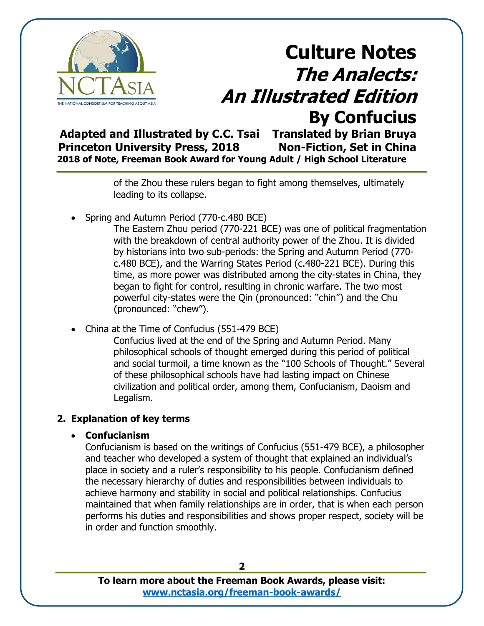

**Adapted and Illustrated by C.C. Tsai Translated by Brian Bruya Princeton University Press, 2018 Non-Fiction, Set in China 2018 of Note, Freeman Book Award for Young Adult / High School Literature**

> of the Zhou these rulers began to fight among themselves, ultimately leading to its collapse.

• Spring and Autumn Period (770-c.480 BCE)

The Eastern Zhou period (770-221 BCE) was one of political fragmentation with the breakdown of central authority power of the Zhou. It is divided by historians into two sub-periods: the Spring and Autumn Period (770 c.480 BCE), and the Warring States Period (c.480-221 BCE). During this time, as more power was distributed among the city-states in China, they began to fight for control, resulting in chronic warfare. The two most powerful city-states were the Qin (pronounced: "chin") and the Chu (pronounced: "chew").

• China at the Time of Confucius (551-479 BCE)

Confucius lived at the end of the Spring and Autumn Period. Many philosophical schools of thought emerged during this period of political and social turmoil, a time known as the "100 Schools of Thought." Several of these philosophical schools have had lasting impact on Chinese civilization and political order, among them, Confucianism, Daoism and Legalism.

## **2. Explanation of key terms**

### • **Confucianism**

Confucianism is based on the writings of Confucius (551-479 BCE), a philosopher and teacher who developed a system of thought that explained an individual's place in society and a ruler's responsibility to his people. Confucianism defined the necessary hierarchy of duties and responsibilities between individuals to achieve harmony and stability in social and political relationships. Confucius maintained that when family relationships are in order, that is when each person performs his duties and responsibilities and shows proper respect, society will be in order and function smoothly.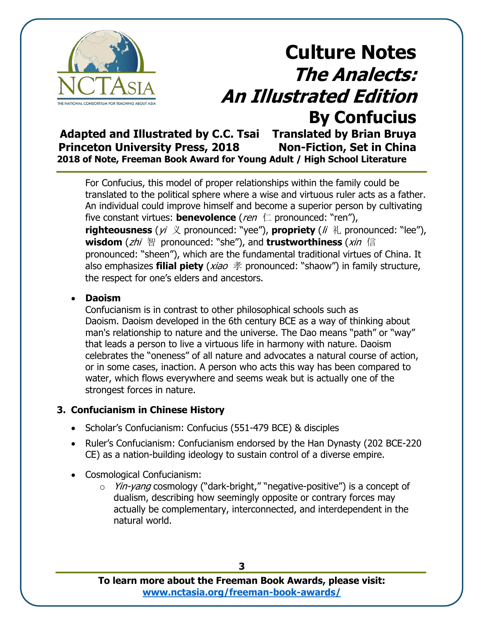

**Adapted and Illustrated by C.C. Tsai Translated by Brian Bruya Princeton University Press, 2018 Non-Fiction, Set in China 2018 of Note, Freeman Book Award for Young Adult / High School Literature**

For Confucius, this model of proper relationships within the family could be translated to the political sphere where a wise and virtuous ruler acts as a father. An individual could improve himself and become a superior person by cultivating five constant virtues: **benevolence** (*ren* 仁 pronounced: "ren"), **righteousness** ( $yi \nless$  pronounced: "yee"), **propriety** ( $li \nless$  pronounced: "lee"), **wisdom** (zhi 智 pronounced: "she"), and **trustworthiness** (xin 信 pronounced: "sheen"), which are the fundamental traditional virtues of China. It also emphasizes **filial piety** (xiao 孝 pronounced: "shaow") in family structure, the respect for one's elders and ancestors.

#### • **Daoism**

Confucianism is in contrast to other philosophical schools such as Daoism. Daoism developed in the 6th century BCE as a way of thinking about man's relationship to nature and the universe. The Dao means "path" or "way" that leads a person to live a virtuous life in harmony with nature. Daoism celebrates the "oneness" of all nature and advocates a natural course of action, or in some cases, inaction. A person who acts this way has been compared to water, which flows everywhere and seems weak but is actually one of the strongest forces in nature.

#### **3. Confucianism in Chinese History**

- Scholar's Confucianism: Confucius (551-479 BCE) & disciples
- Ruler's Confucianism: Confucianism endorsed by the Han Dynasty (202 BCE-220 CE) as a nation-building ideology to sustain control of a diverse empire.
- Cosmological Confucianism:
	- o Yin-yang cosmology ("dark-bright," "negative-positive") is a concept of [dualism,](https://en.wikipedia.org/wiki/Dualistic_cosmology) describing how seemingly opposite or contrary forces may actually be complementary, interconnected, and interdependent in the natural world.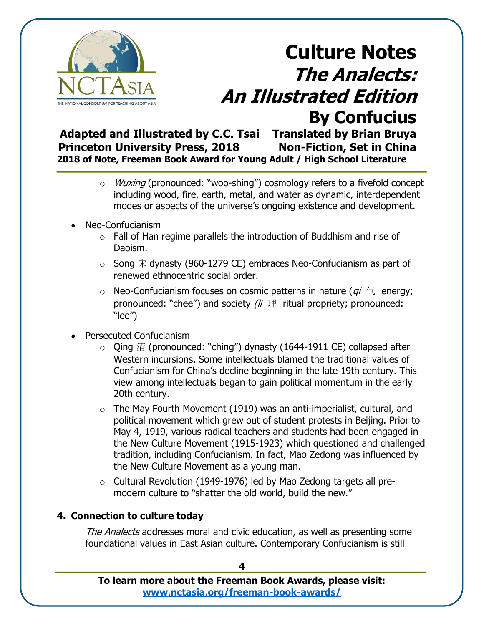

**Adapted and Illustrated by C.C. Tsai Translated by Brian Bruya Princeton University Press, 2018 Non-Fiction, Set in China 2018 of Note, Freeman Book Award for Young Adult / High School Literature**

- o *Wuxing* (pronounced: "woo-shing") cosmology refers to a fivefold concept including wood, fire, earth, metal, and water as dynamic, interdependent modes or aspects of the universe's ongoing existence and development.
- Neo-Confucianism
	- $\circ$  Fall of Han regime parallels the introduction of Buddhism and rise of Daoism.
	- $\circ$  Song  $\hat{\pi}$  dynasty (960-1279 CE) embraces Neo-Confucianism as part of renewed ethnocentric social order.
	- $\circ$  Neo-Confucianism focuses on cosmic patterns in nature ( $qi \in$  energy; pronounced: "chee") and society  $\ell$   $\#$  ritual propriety; pronounced: "lee")
- Persecuted Confucianism
	- o Qing 清 (pronounced: "ching") dynasty (1644-1911 CE) collapsed after Western incursions. Some intellectuals blamed the traditional values of Confucianism for China's decline beginning in the late 19th century. This view among intellectuals began to gain political momentum in the early 20th century.
	- $\circ$  The May Fourth Movement (1919) was an anti-imperialist, cultural, and political movement which grew out of student protests in Beijing. Prior to May 4, 1919, various radical teachers and students had been engaged in the New Culture Movement (1915-1923) which questioned and challenged tradition, including Confucianism. In fact, Mao Zedong was influenced by the New Culture Movement as a young man.
	- o Cultural Revolution (1949-1976) led by Mao Zedong targets all premodern culture to "shatter the old world, build the new."

### **4. Connection to culture today**

The Analects addresses moral and civic education, as well as presenting some foundational values in East Asian culture. Contemporary Confucianism is still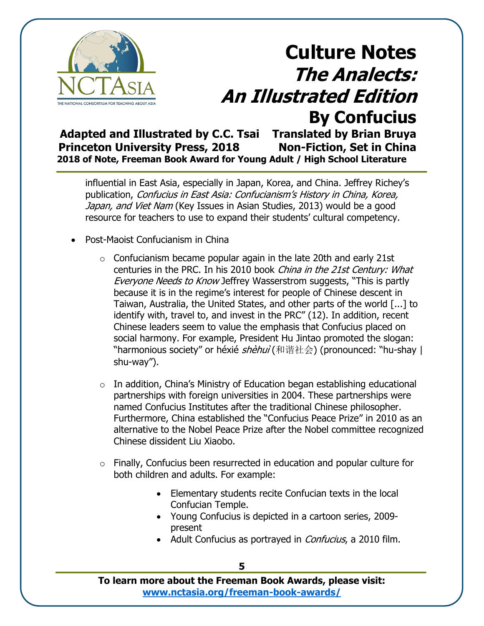

**Adapted and Illustrated by C.C. Tsai Translated by Brian Bruya Princeton University Press, 2018 Non-Fiction, Set in China 2018 of Note, Freeman Book Award for Young Adult / High School Literature**

influential in East Asia, especially in Japan, Korea, and China. Jeffrey Richey's publication, Confucius in East Asia: Confucianism's History in China, Korea, Japan, and Viet Nam (Key Issues in Asian Studies, 2013) would be a good resource for teachers to use to expand their students' cultural competency.

- Post-Maoist Confucianism in China
	- $\circ$  Confucianism became popular again in the late 20th and early 21st centuries in the PRC. In his 2010 book China in the 21st Century: What Everyone Needs to Know Jeffrey Wasserstrom suggests, "This is partly because it is in the regime's interest for people of Chinese descent in Taiwan, Australia, the United States, and other parts of the world [...] to identify with, travel to, and invest in the PRC" (12). In addition, recent Chinese leaders seem to value the emphasis that Confucius placed on social harmony. For example, President Hu Jintao promoted the slogan: "harmonious society" or héxié *shèhuì* (和谐社会) (pronounced: "hu-shay | shu-way").
	- $\circ$  In addition, China's Ministry of Education began establishing educational partnerships with foreign universities in 2004. These partnerships were named Confucius Institutes after the traditional Chinese philosopher. Furthermore, China established the "Confucius Peace Prize" in 2010 as an alternative to the Nobel Peace Prize after the Nobel committee recognized Chinese dissident Liu Xiaobo.
	- o Finally, Confucius been resurrected in education and popular culture for both children and adults. For example:
		- Elementary students recite Confucian texts in the local Confucian Temple.
		- Young Confucius is depicted in a cartoon series, 2009 present
		- Adult Confucius as portrayed in *Confucius*, a 2010 film.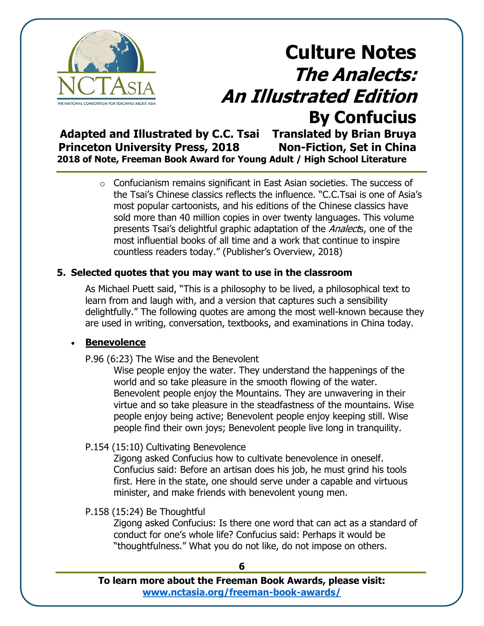

**Adapted and Illustrated by C.C. Tsai Translated by Brian Bruya Princeton University Press, 2018 Non-Fiction, Set in China 2018 of Note, Freeman Book Award for Young Adult / High School Literature**

> o Confucianism remains significant in East Asian societies. The success of the Tsai's Chinese classics reflects the influence. "C.C.Tsai is one of Asia's most popular cartoonists, and his editions of the Chinese classics have sold more than 40 million copies in over twenty languages. This volume presents Tsai's delightful graphic adaptation of the Analects, one of the most influential books of all time and a work that continue to inspire countless readers today." (Publisher's Overview, 2018)

#### **5. Selected quotes that you may want to use in the classroom**

As Michael Puett said, "This is a philosophy to be lived, a philosophical text to learn from and laugh with, and a version that captures such a sensibility delightfully." The following quotes are among the most well-known because they are used in writing, conversation, textbooks, and examinations in China today.

#### • **Benevolence**

P.96 (6:23) The Wise and the Benevolent

Wise people enjoy the water. They understand the happenings of the world and so take pleasure in the smooth flowing of the water. Benevolent people enjoy the Mountains. They are unwavering in their virtue and so take pleasure in the steadfastness of the mountains. Wise people enjoy being active; Benevolent people enjoy keeping still. Wise people find their own joys; Benevolent people live long in tranquility.

#### P.154 (15:10) Cultivating Benevolence

Zigong asked Confucius how to cultivate benevolence in oneself. Confucius said: Before an artisan does his job, he must grind his tools first. Here in the state, one should serve under a capable and virtuous minister, and make friends with benevolent young men.

#### P.158 (15:24) Be Thoughtful

Zigong asked Confucius: Is there one word that can act as a standard of conduct for one's whole life? Confucius said: Perhaps it would be "thoughtfulness." What you do not like, do not impose on others.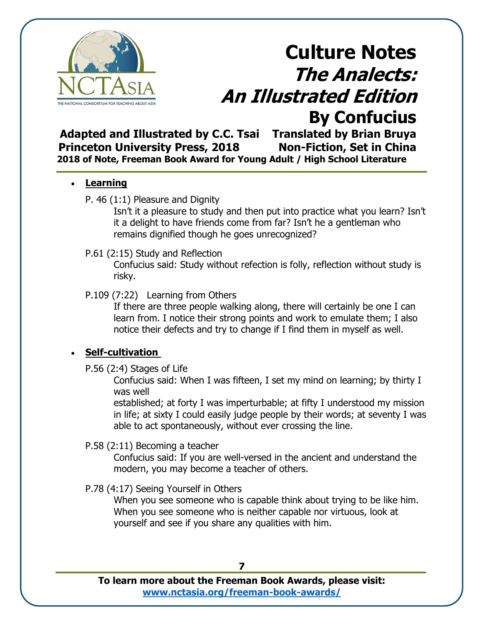

**Adapted and Illustrated by C.C. Tsai Translated by Brian Bruya Princeton University Press, 2018 Non-Fiction, Set in China 2018 of Note, Freeman Book Award for Young Adult / High School Literature**

#### • **Learning**

P. 46 (1:1) Pleasure and Dignity

Isn't it a pleasure to study and then put into practice what you learn? Isn't it a delight to have friends come from far? Isn't he a gentleman who remains dignified though he goes unrecognized?

#### P.61 (2:15) Study and Reflection

Confucius said: Study without refection is folly, reflection without study is risky.

### P.109 (7:22) Learning from Others

If there are three people walking along, there will certainly be one I can learn from. I notice their strong points and work to emulate them; I also notice their defects and try to change if I find them in myself as well.

## • **Self-cultivation**

P.56 (2:4) Stages of Life

Confucius said: When I was fifteen, I set my mind on learning; by thirty I was well

established; at forty I was imperturbable; at fifty I understood my mission in life; at sixty I could easily judge people by their words; at seventy I was able to act spontaneously, without ever crossing the line.

### P.58 (2:11) Becoming a teacher

Confucius said: If you are well-versed in the ancient and understand the modern, you may become a teacher of others.

### P.78 (4:17) Seeing Yourself in Others

When you see someone who is capable think about trying to be like him. When you see someone who is neither capable nor virtuous, look at yourself and see if you share any qualities with him.